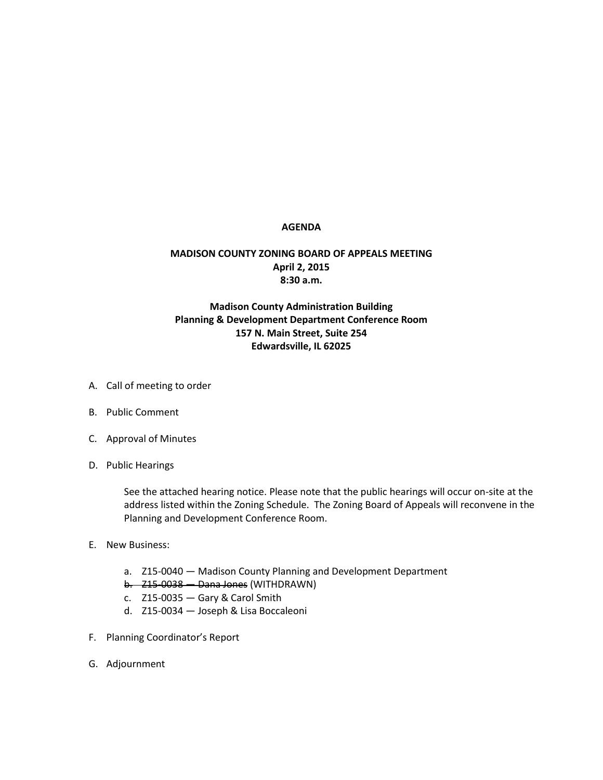## **AGENDA**

## **MADISON COUNTY ZONING BOARD OF APPEALS MEETING April 2, 2015 8:30 a.m.**

## **Madison County Administration Building Planning & Development Department Conference Room 157 N. Main Street, Suite 254 Edwardsville, IL 62025**

- A. Call of meeting to order
- B. Public Comment
- C. Approval of Minutes
- D. Public Hearings

See the attached hearing notice. Please note that the public hearings will occur on-site at the address listed within the Zoning Schedule. The Zoning Board of Appeals will reconvene in the Planning and Development Conference Room.

- E. New Business:
	- a. Z15-0040 Madison County Planning and Development Department
	- b. Z15-0038 Dana Jones (WITHDRAWN)
	- c. Z15-0035 Gary & Carol Smith
	- d. Z15-0034 Joseph & Lisa Boccaleoni
- F. Planning Coordinator's Report
- G. Adjournment